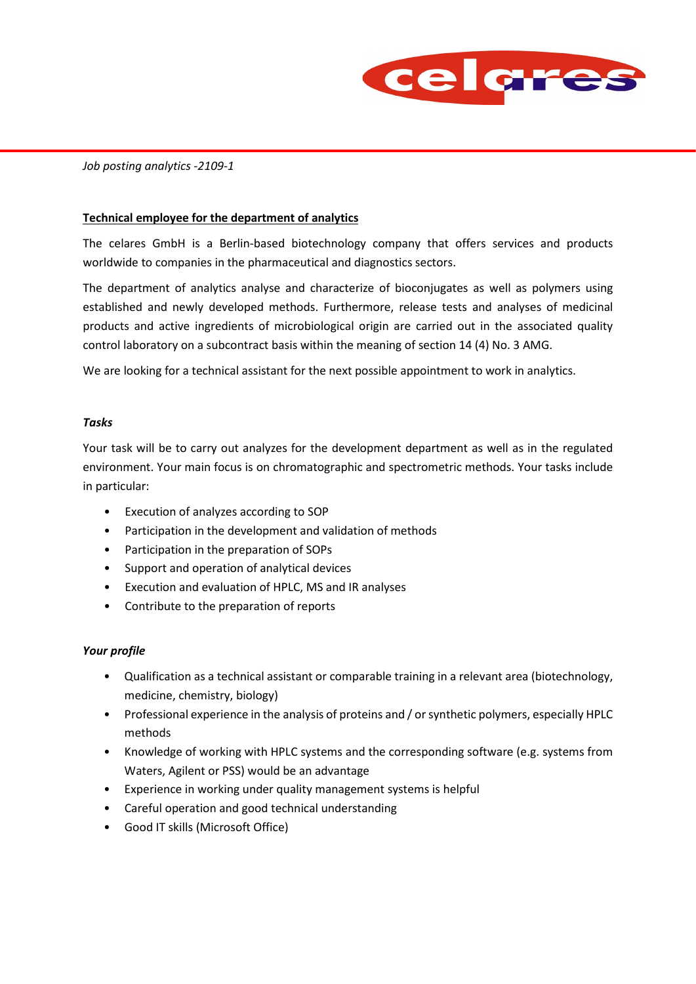

### *Job posting analytics -2109-1*

### **Technical employee for the department of analytics**

The celares GmbH is a Berlin-based biotechnology company that offers services and products worldwide to companies in the pharmaceutical and diagnostics sectors.

The department of analytics analyse and characterize of bioconjugates as well as polymers using established and newly developed methods. Furthermore, release tests and analyses of medicinal products and active ingredients of microbiological origin are carried out in the associated quality control laboratory on a subcontract basis within the meaning of section 14 (4) No. 3 AMG.

We are looking for a technical assistant for the next possible appointment to work in analytics.

#### *Tasks*

Your task will be to carry out analyzes for the development department as well as in the regulated environment. Your main focus is on chromatographic and spectrometric methods. Your tasks include in particular:

- Execution of analyzes according to SOP
- Participation in the development and validation of methods
- Participation in the preparation of SOPs
- Support and operation of analytical devices
- Execution and evaluation of HPLC, MS and IR analyses
- Contribute to the preparation of reports

### *Your profile*

- Qualification as a technical assistant or comparable training in a relevant area (biotechnology, medicine, chemistry, biology)
- Professional experience in the analysis of proteins and / or synthetic polymers, especially HPLC methods
- Knowledge of working with HPLC systems and the corresponding software (e.g. systems from Waters, Agilent or PSS) would be an advantage
- Experience in working under quality management systems is helpful
- Careful operation and good technical understanding
- Good IT skills (Microsoft Office)